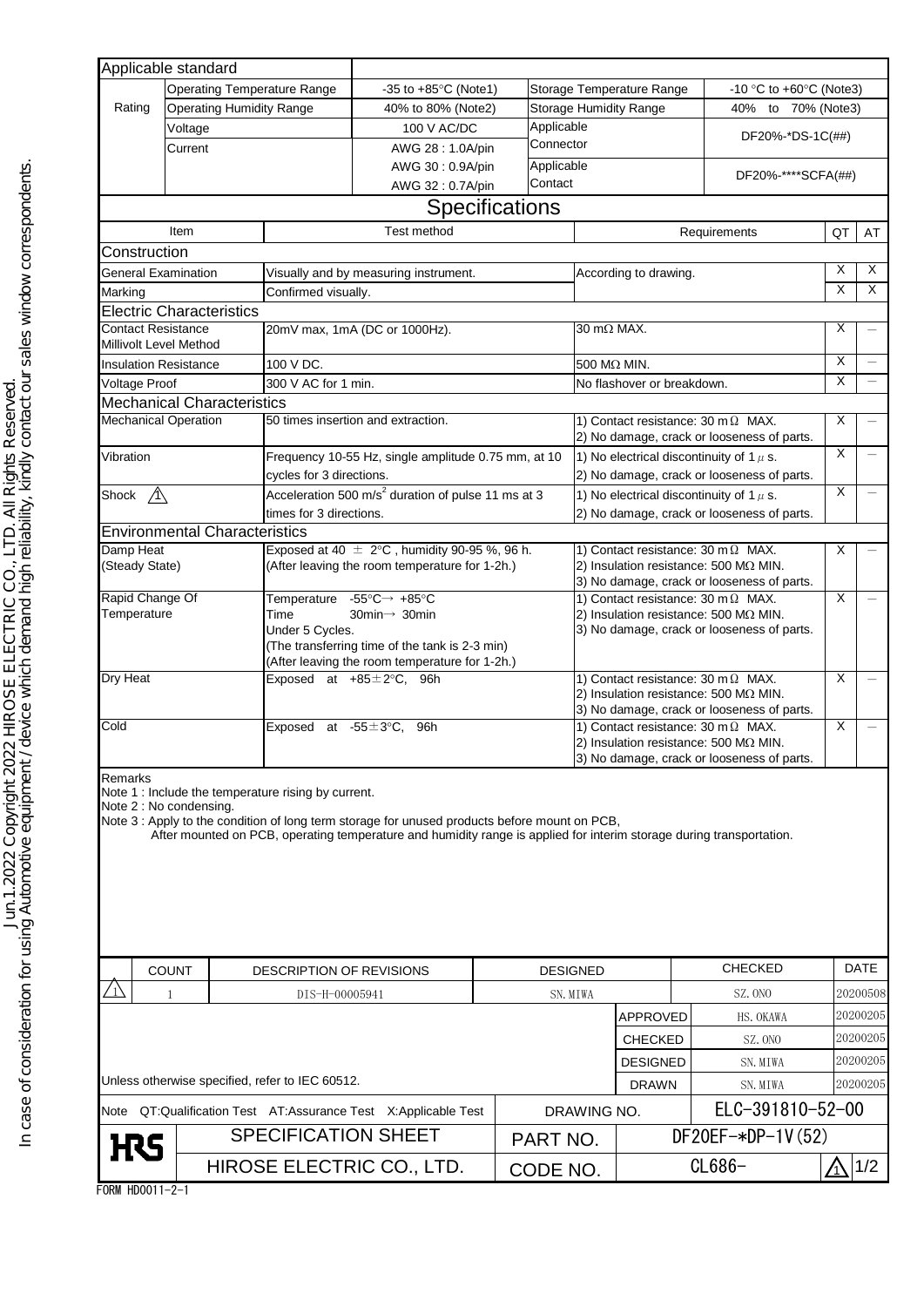| <b>Operating Temperature Range</b><br>-10 °C to +60 $\degree$ C (Note3)<br>-35 to $+85^{\circ}$ C (Note1)<br>Storage Temperature Range<br>Rating<br><b>Operating Humidity Range</b><br><b>Storage Humidity Range</b><br>40% to 80% (Note2)<br>40% to 70% (Note3)<br>Applicable<br>100 V AC/DC<br>Voltage<br>DF20%-*DS-1C(##)<br>Connector<br>AWG 28: 1.0A/pin<br>Current<br>Applicable<br>AWG 30: 0.9A/pin<br>DF20%-****SCFA(##)<br>Contact<br>AWG 32: 0.7A/pin<br>Specifications<br>Test method<br>Item<br>Requirements<br>QT<br>Construction<br>X<br>General Examination<br>According to drawing.<br>Visually and by measuring instrument.<br>X<br>Confirmed visually.<br>Marking<br><b>Electric Characteristics</b><br>$30 \overline{m\Omega}$ MAX.<br>Х<br>Contact Resistance<br>20mV max, 1mA (DC or 1000Hz).<br>Millivolt Level Method<br>X<br>100 V DC.<br>500 MΩ MIN.<br><b>Insulation Resistance</b><br>X<br><b>Voltage Proof</b><br>300 V AC for 1 min.<br>No flashover or breakdown.<br><b>Mechanical Characteristics</b><br><b>Mechanical Operation</b><br>50 times insertion and extraction.<br>X<br>1) Contact resistance: 30 m $\Omega$ MAX.<br>2) No damage, crack or looseness of parts.<br>X<br>1) No electrical discontinuity of 1 $\mu$ s.<br>Vibration<br>Frequency 10-55 Hz, single amplitude 0.75 mm, at 10<br>2) No damage, crack or looseness of parts.<br>cycles for 3 directions.<br>X<br>Acceleration 500 m/s <sup>2</sup> duration of pulse 11 ms at 3<br>Shock $\bigwedge$<br>1) No electrical discontinuity of 1 $\mu$ s.<br>times for 3 directions.<br>2) No damage, crack or looseness of parts.<br><b>Environmental Characteristics</b><br>Damp Heat<br>Exposed at 40 $\pm$ 2°C, humidity 90-95 %, 96 h.<br>1) Contact resistance: 30 m $\Omega$ MAX.<br>Х<br>(Steady State)<br>2) Insulation resistance: 500 MΩ MIN.<br>(After leaving the room temperature for 1-2h.)<br>3) No damage, crack or looseness of parts.<br>Rapid Change Of<br>Temperature -55°C→ +85°C<br>1) Contact resistance: 30 m $\Omega$ MAX.<br>X<br>Temperature<br>2) Insulation resistance: 500 MΩ MIN.<br>Time<br>30 $min \rightarrow$ 30 $min$<br>Under 5 Cycles.<br>3) No damage, crack or looseness of parts.<br>(The transferring time of the tank is 2-3 min)<br>(After leaving the room temperature for 1-2h.)<br>Dry Heat<br>X<br>Exposed at $+85 \pm 2$ °C, 96h<br>1) Contact resistance: 30 m $\Omega$ MAX.<br>2) Insulation resistance: 500 MΩ MIN.<br>3) No damage, crack or looseness of parts.<br>1) Contact resistance: 30 m $\Omega$ MAX.<br>X<br>Cold<br>Exposed at $-55 \pm 3$ °C,<br>96h<br>2) Insulation resistance: 500 M $\Omega$ MIN.<br>3) No damage, crack or looseness of parts.<br>Remarks<br>Note 1 : Include the temperature rising by current.<br>Note 2 : No condensing.<br>Note 3 : Apply to the condition of long term storage for unused products before mount on PCB,<br>After mounted on PCB, operating temperature and humidity range is applied for interim storage during transportation.<br><b>CHECKED</b><br><b>COUNT</b><br><b>DESCRIPTION OF REVISIONS</b><br><b>DESIGNED</b><br>SZ. ONO<br>20200508<br>SN. MIWA<br>1<br>DIS-H-00005941<br>20200205<br><b>APPROVED</b><br>HS. OKAWA<br>20200205<br><b>CHECKED</b><br>SZ. ONO<br>20200205<br><b>DESIGNED</b><br>SN. MIWA<br>Unless otherwise specified, refer to IEC 60512.<br>20200205<br><b>DRAWN</b><br>SN. MIWA<br>ELC-391810-52-00<br>Note QT:Qualification Test AT:Assurance Test X:Applicable Test<br>DRAWING NO.<br><b>SPECIFICATION SHEET</b><br>DF20EF-*DP-1V (52)<br>PART NO.<br><b>H</b> RS<br>CL686-<br>HIROSE ELECTRIC CO., LTD.<br>CODE NO. | Applicable standard |  |  |  |  |  |  |  |  |  |  |                          |
|---------------------------------------------------------------------------------------------------------------------------------------------------------------------------------------------------------------------------------------------------------------------------------------------------------------------------------------------------------------------------------------------------------------------------------------------------------------------------------------------------------------------------------------------------------------------------------------------------------------------------------------------------------------------------------------------------------------------------------------------------------------------------------------------------------------------------------------------------------------------------------------------------------------------------------------------------------------------------------------------------------------------------------------------------------------------------------------------------------------------------------------------------------------------------------------------------------------------------------------------------------------------------------------------------------------------------------------------------------------------------------------------------------------------------------------------------------------------------------------------------------------------------------------------------------------------------------------------------------------------------------------------------------------------------------------------------------------------------------------------------------------------------------------------------------------------------------------------------------------------------------------------------------------------------------------------------------------------------------------------------------------------------------------------------------------------------------------------------------------------------------------------------------------------------------------------------------------------------------------------------------------------------------------------------------------------------------------------------------------------------------------------------------------------------------------------------------------------------------------------------------------------------------------------------------------------------------------------------------------------------------------------------------------------------------------------------------------------------------------------------------------------------------------------------------------------------------------------------------------------------------------------------------------------------------------------------------------------------------------------------------------------------------------------------------------------------------------------------------------------------------------------------------------------------------------------------------------------------------------------------------------------------------------------------------------------------------------------------------------------------------------------------------------------------------------------------------------------------------------------------------------------------------------------------------------------------------------------------------------------------------------------------------------|---------------------|--|--|--|--|--|--|--|--|--|--|--------------------------|
|                                                                                                                                                                                                                                                                                                                                                                                                                                                                                                                                                                                                                                                                                                                                                                                                                                                                                                                                                                                                                                                                                                                                                                                                                                                                                                                                                                                                                                                                                                                                                                                                                                                                                                                                                                                                                                                                                                                                                                                                                                                                                                                                                                                                                                                                                                                                                                                                                                                                                                                                                                                                                                                                                                                                                                                                                                                                                                                                                                                                                                                                                                                                                                                                                                                                                                                                                                                                                                                                                                                                                                                                                                                               |                     |  |  |  |  |  |  |  |  |  |  |                          |
|                                                                                                                                                                                                                                                                                                                                                                                                                                                                                                                                                                                                                                                                                                                                                                                                                                                                                                                                                                                                                                                                                                                                                                                                                                                                                                                                                                                                                                                                                                                                                                                                                                                                                                                                                                                                                                                                                                                                                                                                                                                                                                                                                                                                                                                                                                                                                                                                                                                                                                                                                                                                                                                                                                                                                                                                                                                                                                                                                                                                                                                                                                                                                                                                                                                                                                                                                                                                                                                                                                                                                                                                                                                               |                     |  |  |  |  |  |  |  |  |  |  |                          |
|                                                                                                                                                                                                                                                                                                                                                                                                                                                                                                                                                                                                                                                                                                                                                                                                                                                                                                                                                                                                                                                                                                                                                                                                                                                                                                                                                                                                                                                                                                                                                                                                                                                                                                                                                                                                                                                                                                                                                                                                                                                                                                                                                                                                                                                                                                                                                                                                                                                                                                                                                                                                                                                                                                                                                                                                                                                                                                                                                                                                                                                                                                                                                                                                                                                                                                                                                                                                                                                                                                                                                                                                                                                               |                     |  |  |  |  |  |  |  |  |  |  |                          |
|                                                                                                                                                                                                                                                                                                                                                                                                                                                                                                                                                                                                                                                                                                                                                                                                                                                                                                                                                                                                                                                                                                                                                                                                                                                                                                                                                                                                                                                                                                                                                                                                                                                                                                                                                                                                                                                                                                                                                                                                                                                                                                                                                                                                                                                                                                                                                                                                                                                                                                                                                                                                                                                                                                                                                                                                                                                                                                                                                                                                                                                                                                                                                                                                                                                                                                                                                                                                                                                                                                                                                                                                                                                               |                     |  |  |  |  |  |  |  |  |  |  |                          |
|                                                                                                                                                                                                                                                                                                                                                                                                                                                                                                                                                                                                                                                                                                                                                                                                                                                                                                                                                                                                                                                                                                                                                                                                                                                                                                                                                                                                                                                                                                                                                                                                                                                                                                                                                                                                                                                                                                                                                                                                                                                                                                                                                                                                                                                                                                                                                                                                                                                                                                                                                                                                                                                                                                                                                                                                                                                                                                                                                                                                                                                                                                                                                                                                                                                                                                                                                                                                                                                                                                                                                                                                                                                               |                     |  |  |  |  |  |  |  |  |  |  |                          |
|                                                                                                                                                                                                                                                                                                                                                                                                                                                                                                                                                                                                                                                                                                                                                                                                                                                                                                                                                                                                                                                                                                                                                                                                                                                                                                                                                                                                                                                                                                                                                                                                                                                                                                                                                                                                                                                                                                                                                                                                                                                                                                                                                                                                                                                                                                                                                                                                                                                                                                                                                                                                                                                                                                                                                                                                                                                                                                                                                                                                                                                                                                                                                                                                                                                                                                                                                                                                                                                                                                                                                                                                                                                               |                     |  |  |  |  |  |  |  |  |  |  |                          |
|                                                                                                                                                                                                                                                                                                                                                                                                                                                                                                                                                                                                                                                                                                                                                                                                                                                                                                                                                                                                                                                                                                                                                                                                                                                                                                                                                                                                                                                                                                                                                                                                                                                                                                                                                                                                                                                                                                                                                                                                                                                                                                                                                                                                                                                                                                                                                                                                                                                                                                                                                                                                                                                                                                                                                                                                                                                                                                                                                                                                                                                                                                                                                                                                                                                                                                                                                                                                                                                                                                                                                                                                                                                               |                     |  |  |  |  |  |  |  |  |  |  |                          |
|                                                                                                                                                                                                                                                                                                                                                                                                                                                                                                                                                                                                                                                                                                                                                                                                                                                                                                                                                                                                                                                                                                                                                                                                                                                                                                                                                                                                                                                                                                                                                                                                                                                                                                                                                                                                                                                                                                                                                                                                                                                                                                                                                                                                                                                                                                                                                                                                                                                                                                                                                                                                                                                                                                                                                                                                                                                                                                                                                                                                                                                                                                                                                                                                                                                                                                                                                                                                                                                                                                                                                                                                                                                               |                     |  |  |  |  |  |  |  |  |  |  | AT                       |
|                                                                                                                                                                                                                                                                                                                                                                                                                                                                                                                                                                                                                                                                                                                                                                                                                                                                                                                                                                                                                                                                                                                                                                                                                                                                                                                                                                                                                                                                                                                                                                                                                                                                                                                                                                                                                                                                                                                                                                                                                                                                                                                                                                                                                                                                                                                                                                                                                                                                                                                                                                                                                                                                                                                                                                                                                                                                                                                                                                                                                                                                                                                                                                                                                                                                                                                                                                                                                                                                                                                                                                                                                                                               |                     |  |  |  |  |  |  |  |  |  |  |                          |
|                                                                                                                                                                                                                                                                                                                                                                                                                                                                                                                                                                                                                                                                                                                                                                                                                                                                                                                                                                                                                                                                                                                                                                                                                                                                                                                                                                                                                                                                                                                                                                                                                                                                                                                                                                                                                                                                                                                                                                                                                                                                                                                                                                                                                                                                                                                                                                                                                                                                                                                                                                                                                                                                                                                                                                                                                                                                                                                                                                                                                                                                                                                                                                                                                                                                                                                                                                                                                                                                                                                                                                                                                                                               |                     |  |  |  |  |  |  |  |  |  |  | Χ                        |
|                                                                                                                                                                                                                                                                                                                                                                                                                                                                                                                                                                                                                                                                                                                                                                                                                                                                                                                                                                                                                                                                                                                                                                                                                                                                                                                                                                                                                                                                                                                                                                                                                                                                                                                                                                                                                                                                                                                                                                                                                                                                                                                                                                                                                                                                                                                                                                                                                                                                                                                                                                                                                                                                                                                                                                                                                                                                                                                                                                                                                                                                                                                                                                                                                                                                                                                                                                                                                                                                                                                                                                                                                                                               |                     |  |  |  |  |  |  |  |  |  |  | $\overline{X}$           |
|                                                                                                                                                                                                                                                                                                                                                                                                                                                                                                                                                                                                                                                                                                                                                                                                                                                                                                                                                                                                                                                                                                                                                                                                                                                                                                                                                                                                                                                                                                                                                                                                                                                                                                                                                                                                                                                                                                                                                                                                                                                                                                                                                                                                                                                                                                                                                                                                                                                                                                                                                                                                                                                                                                                                                                                                                                                                                                                                                                                                                                                                                                                                                                                                                                                                                                                                                                                                                                                                                                                                                                                                                                                               |                     |  |  |  |  |  |  |  |  |  |  |                          |
|                                                                                                                                                                                                                                                                                                                                                                                                                                                                                                                                                                                                                                                                                                                                                                                                                                                                                                                                                                                                                                                                                                                                                                                                                                                                                                                                                                                                                                                                                                                                                                                                                                                                                                                                                                                                                                                                                                                                                                                                                                                                                                                                                                                                                                                                                                                                                                                                                                                                                                                                                                                                                                                                                                                                                                                                                                                                                                                                                                                                                                                                                                                                                                                                                                                                                                                                                                                                                                                                                                                                                                                                                                                               |                     |  |  |  |  |  |  |  |  |  |  |                          |
|                                                                                                                                                                                                                                                                                                                                                                                                                                                                                                                                                                                                                                                                                                                                                                                                                                                                                                                                                                                                                                                                                                                                                                                                                                                                                                                                                                                                                                                                                                                                                                                                                                                                                                                                                                                                                                                                                                                                                                                                                                                                                                                                                                                                                                                                                                                                                                                                                                                                                                                                                                                                                                                                                                                                                                                                                                                                                                                                                                                                                                                                                                                                                                                                                                                                                                                                                                                                                                                                                                                                                                                                                                                               |                     |  |  |  |  |  |  |  |  |  |  |                          |
|                                                                                                                                                                                                                                                                                                                                                                                                                                                                                                                                                                                                                                                                                                                                                                                                                                                                                                                                                                                                                                                                                                                                                                                                                                                                                                                                                                                                                                                                                                                                                                                                                                                                                                                                                                                                                                                                                                                                                                                                                                                                                                                                                                                                                                                                                                                                                                                                                                                                                                                                                                                                                                                                                                                                                                                                                                                                                                                                                                                                                                                                                                                                                                                                                                                                                                                                                                                                                                                                                                                                                                                                                                                               |                     |  |  |  |  |  |  |  |  |  |  |                          |
|                                                                                                                                                                                                                                                                                                                                                                                                                                                                                                                                                                                                                                                                                                                                                                                                                                                                                                                                                                                                                                                                                                                                                                                                                                                                                                                                                                                                                                                                                                                                                                                                                                                                                                                                                                                                                                                                                                                                                                                                                                                                                                                                                                                                                                                                                                                                                                                                                                                                                                                                                                                                                                                                                                                                                                                                                                                                                                                                                                                                                                                                                                                                                                                                                                                                                                                                                                                                                                                                                                                                                                                                                                                               |                     |  |  |  |  |  |  |  |  |  |  |                          |
|                                                                                                                                                                                                                                                                                                                                                                                                                                                                                                                                                                                                                                                                                                                                                                                                                                                                                                                                                                                                                                                                                                                                                                                                                                                                                                                                                                                                                                                                                                                                                                                                                                                                                                                                                                                                                                                                                                                                                                                                                                                                                                                                                                                                                                                                                                                                                                                                                                                                                                                                                                                                                                                                                                                                                                                                                                                                                                                                                                                                                                                                                                                                                                                                                                                                                                                                                                                                                                                                                                                                                                                                                                                               |                     |  |  |  |  |  |  |  |  |  |  |                          |
|                                                                                                                                                                                                                                                                                                                                                                                                                                                                                                                                                                                                                                                                                                                                                                                                                                                                                                                                                                                                                                                                                                                                                                                                                                                                                                                                                                                                                                                                                                                                                                                                                                                                                                                                                                                                                                                                                                                                                                                                                                                                                                                                                                                                                                                                                                                                                                                                                                                                                                                                                                                                                                                                                                                                                                                                                                                                                                                                                                                                                                                                                                                                                                                                                                                                                                                                                                                                                                                                                                                                                                                                                                                               |                     |  |  |  |  |  |  |  |  |  |  |                          |
|                                                                                                                                                                                                                                                                                                                                                                                                                                                                                                                                                                                                                                                                                                                                                                                                                                                                                                                                                                                                                                                                                                                                                                                                                                                                                                                                                                                                                                                                                                                                                                                                                                                                                                                                                                                                                                                                                                                                                                                                                                                                                                                                                                                                                                                                                                                                                                                                                                                                                                                                                                                                                                                                                                                                                                                                                                                                                                                                                                                                                                                                                                                                                                                                                                                                                                                                                                                                                                                                                                                                                                                                                                                               |                     |  |  |  |  |  |  |  |  |  |  | $\overline{\phantom{0}}$ |
|                                                                                                                                                                                                                                                                                                                                                                                                                                                                                                                                                                                                                                                                                                                                                                                                                                                                                                                                                                                                                                                                                                                                                                                                                                                                                                                                                                                                                                                                                                                                                                                                                                                                                                                                                                                                                                                                                                                                                                                                                                                                                                                                                                                                                                                                                                                                                                                                                                                                                                                                                                                                                                                                                                                                                                                                                                                                                                                                                                                                                                                                                                                                                                                                                                                                                                                                                                                                                                                                                                                                                                                                                                                               |                     |  |  |  |  |  |  |  |  |  |  |                          |
|                                                                                                                                                                                                                                                                                                                                                                                                                                                                                                                                                                                                                                                                                                                                                                                                                                                                                                                                                                                                                                                                                                                                                                                                                                                                                                                                                                                                                                                                                                                                                                                                                                                                                                                                                                                                                                                                                                                                                                                                                                                                                                                                                                                                                                                                                                                                                                                                                                                                                                                                                                                                                                                                                                                                                                                                                                                                                                                                                                                                                                                                                                                                                                                                                                                                                                                                                                                                                                                                                                                                                                                                                                                               |                     |  |  |  |  |  |  |  |  |  |  |                          |
|                                                                                                                                                                                                                                                                                                                                                                                                                                                                                                                                                                                                                                                                                                                                                                                                                                                                                                                                                                                                                                                                                                                                                                                                                                                                                                                                                                                                                                                                                                                                                                                                                                                                                                                                                                                                                                                                                                                                                                                                                                                                                                                                                                                                                                                                                                                                                                                                                                                                                                                                                                                                                                                                                                                                                                                                                                                                                                                                                                                                                                                                                                                                                                                                                                                                                                                                                                                                                                                                                                                                                                                                                                                               |                     |  |  |  |  |  |  |  |  |  |  |                          |
|                                                                                                                                                                                                                                                                                                                                                                                                                                                                                                                                                                                                                                                                                                                                                                                                                                                                                                                                                                                                                                                                                                                                                                                                                                                                                                                                                                                                                                                                                                                                                                                                                                                                                                                                                                                                                                                                                                                                                                                                                                                                                                                                                                                                                                                                                                                                                                                                                                                                                                                                                                                                                                                                                                                                                                                                                                                                                                                                                                                                                                                                                                                                                                                                                                                                                                                                                                                                                                                                                                                                                                                                                                                               |                     |  |  |  |  |  |  |  |  |  |  |                          |
|                                                                                                                                                                                                                                                                                                                                                                                                                                                                                                                                                                                                                                                                                                                                                                                                                                                                                                                                                                                                                                                                                                                                                                                                                                                                                                                                                                                                                                                                                                                                                                                                                                                                                                                                                                                                                                                                                                                                                                                                                                                                                                                                                                                                                                                                                                                                                                                                                                                                                                                                                                                                                                                                                                                                                                                                                                                                                                                                                                                                                                                                                                                                                                                                                                                                                                                                                                                                                                                                                                                                                                                                                                                               |                     |  |  |  |  |  |  |  |  |  |  |                          |
|                                                                                                                                                                                                                                                                                                                                                                                                                                                                                                                                                                                                                                                                                                                                                                                                                                                                                                                                                                                                                                                                                                                                                                                                                                                                                                                                                                                                                                                                                                                                                                                                                                                                                                                                                                                                                                                                                                                                                                                                                                                                                                                                                                                                                                                                                                                                                                                                                                                                                                                                                                                                                                                                                                                                                                                                                                                                                                                                                                                                                                                                                                                                                                                                                                                                                                                                                                                                                                                                                                                                                                                                                                                               |                     |  |  |  |  |  |  |  |  |  |  |                          |
|                                                                                                                                                                                                                                                                                                                                                                                                                                                                                                                                                                                                                                                                                                                                                                                                                                                                                                                                                                                                                                                                                                                                                                                                                                                                                                                                                                                                                                                                                                                                                                                                                                                                                                                                                                                                                                                                                                                                                                                                                                                                                                                                                                                                                                                                                                                                                                                                                                                                                                                                                                                                                                                                                                                                                                                                                                                                                                                                                                                                                                                                                                                                                                                                                                                                                                                                                                                                                                                                                                                                                                                                                                                               |                     |  |  |  |  |  |  |  |  |  |  |                          |
|                                                                                                                                                                                                                                                                                                                                                                                                                                                                                                                                                                                                                                                                                                                                                                                                                                                                                                                                                                                                                                                                                                                                                                                                                                                                                                                                                                                                                                                                                                                                                                                                                                                                                                                                                                                                                                                                                                                                                                                                                                                                                                                                                                                                                                                                                                                                                                                                                                                                                                                                                                                                                                                                                                                                                                                                                                                                                                                                                                                                                                                                                                                                                                                                                                                                                                                                                                                                                                                                                                                                                                                                                                                               |                     |  |  |  |  |  |  |  |  |  |  |                          |
|                                                                                                                                                                                                                                                                                                                                                                                                                                                                                                                                                                                                                                                                                                                                                                                                                                                                                                                                                                                                                                                                                                                                                                                                                                                                                                                                                                                                                                                                                                                                                                                                                                                                                                                                                                                                                                                                                                                                                                                                                                                                                                                                                                                                                                                                                                                                                                                                                                                                                                                                                                                                                                                                                                                                                                                                                                                                                                                                                                                                                                                                                                                                                                                                                                                                                                                                                                                                                                                                                                                                                                                                                                                               |                     |  |  |  |  |  |  |  |  |  |  |                          |
|                                                                                                                                                                                                                                                                                                                                                                                                                                                                                                                                                                                                                                                                                                                                                                                                                                                                                                                                                                                                                                                                                                                                                                                                                                                                                                                                                                                                                                                                                                                                                                                                                                                                                                                                                                                                                                                                                                                                                                                                                                                                                                                                                                                                                                                                                                                                                                                                                                                                                                                                                                                                                                                                                                                                                                                                                                                                                                                                                                                                                                                                                                                                                                                                                                                                                                                                                                                                                                                                                                                                                                                                                                                               |                     |  |  |  |  |  |  |  |  |  |  |                          |
|                                                                                                                                                                                                                                                                                                                                                                                                                                                                                                                                                                                                                                                                                                                                                                                                                                                                                                                                                                                                                                                                                                                                                                                                                                                                                                                                                                                                                                                                                                                                                                                                                                                                                                                                                                                                                                                                                                                                                                                                                                                                                                                                                                                                                                                                                                                                                                                                                                                                                                                                                                                                                                                                                                                                                                                                                                                                                                                                                                                                                                                                                                                                                                                                                                                                                                                                                                                                                                                                                                                                                                                                                                                               |                     |  |  |  |  |  |  |  |  |  |  |                          |
|                                                                                                                                                                                                                                                                                                                                                                                                                                                                                                                                                                                                                                                                                                                                                                                                                                                                                                                                                                                                                                                                                                                                                                                                                                                                                                                                                                                                                                                                                                                                                                                                                                                                                                                                                                                                                                                                                                                                                                                                                                                                                                                                                                                                                                                                                                                                                                                                                                                                                                                                                                                                                                                                                                                                                                                                                                                                                                                                                                                                                                                                                                                                                                                                                                                                                                                                                                                                                                                                                                                                                                                                                                                               |                     |  |  |  |  |  |  |  |  |  |  |                          |
|                                                                                                                                                                                                                                                                                                                                                                                                                                                                                                                                                                                                                                                                                                                                                                                                                                                                                                                                                                                                                                                                                                                                                                                                                                                                                                                                                                                                                                                                                                                                                                                                                                                                                                                                                                                                                                                                                                                                                                                                                                                                                                                                                                                                                                                                                                                                                                                                                                                                                                                                                                                                                                                                                                                                                                                                                                                                                                                                                                                                                                                                                                                                                                                                                                                                                                                                                                                                                                                                                                                                                                                                                                                               |                     |  |  |  |  |  |  |  |  |  |  |                          |
|                                                                                                                                                                                                                                                                                                                                                                                                                                                                                                                                                                                                                                                                                                                                                                                                                                                                                                                                                                                                                                                                                                                                                                                                                                                                                                                                                                                                                                                                                                                                                                                                                                                                                                                                                                                                                                                                                                                                                                                                                                                                                                                                                                                                                                                                                                                                                                                                                                                                                                                                                                                                                                                                                                                                                                                                                                                                                                                                                                                                                                                                                                                                                                                                                                                                                                                                                                                                                                                                                                                                                                                                                                                               |                     |  |  |  |  |  |  |  |  |  |  |                          |
|                                                                                                                                                                                                                                                                                                                                                                                                                                                                                                                                                                                                                                                                                                                                                                                                                                                                                                                                                                                                                                                                                                                                                                                                                                                                                                                                                                                                                                                                                                                                                                                                                                                                                                                                                                                                                                                                                                                                                                                                                                                                                                                                                                                                                                                                                                                                                                                                                                                                                                                                                                                                                                                                                                                                                                                                                                                                                                                                                                                                                                                                                                                                                                                                                                                                                                                                                                                                                                                                                                                                                                                                                                                               |                     |  |  |  |  |  |  |  |  |  |  |                          |
|                                                                                                                                                                                                                                                                                                                                                                                                                                                                                                                                                                                                                                                                                                                                                                                                                                                                                                                                                                                                                                                                                                                                                                                                                                                                                                                                                                                                                                                                                                                                                                                                                                                                                                                                                                                                                                                                                                                                                                                                                                                                                                                                                                                                                                                                                                                                                                                                                                                                                                                                                                                                                                                                                                                                                                                                                                                                                                                                                                                                                                                                                                                                                                                                                                                                                                                                                                                                                                                                                                                                                                                                                                                               |                     |  |  |  |  |  |  |  |  |  |  |                          |
|                                                                                                                                                                                                                                                                                                                                                                                                                                                                                                                                                                                                                                                                                                                                                                                                                                                                                                                                                                                                                                                                                                                                                                                                                                                                                                                                                                                                                                                                                                                                                                                                                                                                                                                                                                                                                                                                                                                                                                                                                                                                                                                                                                                                                                                                                                                                                                                                                                                                                                                                                                                                                                                                                                                                                                                                                                                                                                                                                                                                                                                                                                                                                                                                                                                                                                                                                                                                                                                                                                                                                                                                                                                               |                     |  |  |  |  |  |  |  |  |  |  | <b>DATE</b>              |
|                                                                                                                                                                                                                                                                                                                                                                                                                                                                                                                                                                                                                                                                                                                                                                                                                                                                                                                                                                                                                                                                                                                                                                                                                                                                                                                                                                                                                                                                                                                                                                                                                                                                                                                                                                                                                                                                                                                                                                                                                                                                                                                                                                                                                                                                                                                                                                                                                                                                                                                                                                                                                                                                                                                                                                                                                                                                                                                                                                                                                                                                                                                                                                                                                                                                                                                                                                                                                                                                                                                                                                                                                                                               |                     |  |  |  |  |  |  |  |  |  |  |                          |
|                                                                                                                                                                                                                                                                                                                                                                                                                                                                                                                                                                                                                                                                                                                                                                                                                                                                                                                                                                                                                                                                                                                                                                                                                                                                                                                                                                                                                                                                                                                                                                                                                                                                                                                                                                                                                                                                                                                                                                                                                                                                                                                                                                                                                                                                                                                                                                                                                                                                                                                                                                                                                                                                                                                                                                                                                                                                                                                                                                                                                                                                                                                                                                                                                                                                                                                                                                                                                                                                                                                                                                                                                                                               |                     |  |  |  |  |  |  |  |  |  |  |                          |
|                                                                                                                                                                                                                                                                                                                                                                                                                                                                                                                                                                                                                                                                                                                                                                                                                                                                                                                                                                                                                                                                                                                                                                                                                                                                                                                                                                                                                                                                                                                                                                                                                                                                                                                                                                                                                                                                                                                                                                                                                                                                                                                                                                                                                                                                                                                                                                                                                                                                                                                                                                                                                                                                                                                                                                                                                                                                                                                                                                                                                                                                                                                                                                                                                                                                                                                                                                                                                                                                                                                                                                                                                                                               |                     |  |  |  |  |  |  |  |  |  |  |                          |
|                                                                                                                                                                                                                                                                                                                                                                                                                                                                                                                                                                                                                                                                                                                                                                                                                                                                                                                                                                                                                                                                                                                                                                                                                                                                                                                                                                                                                                                                                                                                                                                                                                                                                                                                                                                                                                                                                                                                                                                                                                                                                                                                                                                                                                                                                                                                                                                                                                                                                                                                                                                                                                                                                                                                                                                                                                                                                                                                                                                                                                                                                                                                                                                                                                                                                                                                                                                                                                                                                                                                                                                                                                                               |                     |  |  |  |  |  |  |  |  |  |  |                          |
|                                                                                                                                                                                                                                                                                                                                                                                                                                                                                                                                                                                                                                                                                                                                                                                                                                                                                                                                                                                                                                                                                                                                                                                                                                                                                                                                                                                                                                                                                                                                                                                                                                                                                                                                                                                                                                                                                                                                                                                                                                                                                                                                                                                                                                                                                                                                                                                                                                                                                                                                                                                                                                                                                                                                                                                                                                                                                                                                                                                                                                                                                                                                                                                                                                                                                                                                                                                                                                                                                                                                                                                                                                                               |                     |  |  |  |  |  |  |  |  |  |  |                          |
|                                                                                                                                                                                                                                                                                                                                                                                                                                                                                                                                                                                                                                                                                                                                                                                                                                                                                                                                                                                                                                                                                                                                                                                                                                                                                                                                                                                                                                                                                                                                                                                                                                                                                                                                                                                                                                                                                                                                                                                                                                                                                                                                                                                                                                                                                                                                                                                                                                                                                                                                                                                                                                                                                                                                                                                                                                                                                                                                                                                                                                                                                                                                                                                                                                                                                                                                                                                                                                                                                                                                                                                                                                                               |                     |  |  |  |  |  |  |  |  |  |  |                          |
|                                                                                                                                                                                                                                                                                                                                                                                                                                                                                                                                                                                                                                                                                                                                                                                                                                                                                                                                                                                                                                                                                                                                                                                                                                                                                                                                                                                                                                                                                                                                                                                                                                                                                                                                                                                                                                                                                                                                                                                                                                                                                                                                                                                                                                                                                                                                                                                                                                                                                                                                                                                                                                                                                                                                                                                                                                                                                                                                                                                                                                                                                                                                                                                                                                                                                                                                                                                                                                                                                                                                                                                                                                                               |                     |  |  |  |  |  |  |  |  |  |  |                          |
|                                                                                                                                                                                                                                                                                                                                                                                                                                                                                                                                                                                                                                                                                                                                                                                                                                                                                                                                                                                                                                                                                                                                                                                                                                                                                                                                                                                                                                                                                                                                                                                                                                                                                                                                                                                                                                                                                                                                                                                                                                                                                                                                                                                                                                                                                                                                                                                                                                                                                                                                                                                                                                                                                                                                                                                                                                                                                                                                                                                                                                                                                                                                                                                                                                                                                                                                                                                                                                                                                                                                                                                                                                                               |                     |  |  |  |  |  |  |  |  |  |  |                          |
|                                                                                                                                                                                                                                                                                                                                                                                                                                                                                                                                                                                                                                                                                                                                                                                                                                                                                                                                                                                                                                                                                                                                                                                                                                                                                                                                                                                                                                                                                                                                                                                                                                                                                                                                                                                                                                                                                                                                                                                                                                                                                                                                                                                                                                                                                                                                                                                                                                                                                                                                                                                                                                                                                                                                                                                                                                                                                                                                                                                                                                                                                                                                                                                                                                                                                                                                                                                                                                                                                                                                                                                                                                                               |                     |  |  |  |  |  |  |  |  |  |  | 1/2                      |